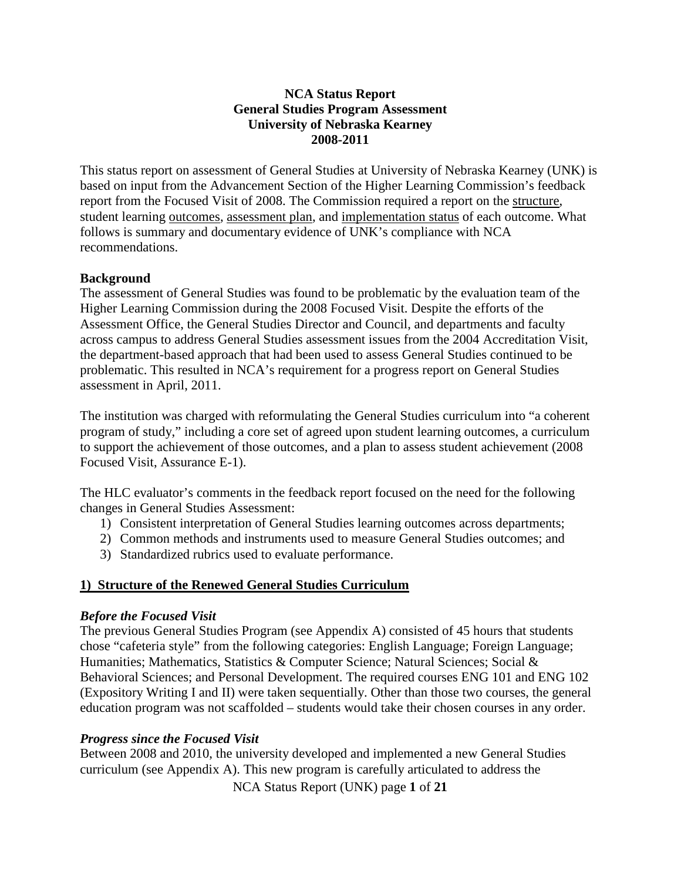### **NCA Status Report General Studies Program Assessment University of Nebraska Kearney 2008-2011**

This status report on assessment of General Studies at University of Nebraska Kearney (UNK) is based on input from the Advancement Section of the Higher Learning Commission's feedback report from the Focused Visit of 2008. The Commission required a report on the structure, student learning outcomes, assessment plan, and implementation status of each outcome. What follows is summary and documentary evidence of UNK's compliance with NCA recommendations.

#### **Background**

The assessment of General Studies was found to be problematic by the evaluation team of the Higher Learning Commission during the 2008 Focused Visit. Despite the efforts of the Assessment Office, the General Studies Director and Council, and departments and faculty across campus to address General Studies assessment issues from the 2004 Accreditation Visit, the department-based approach that had been used to assess General Studies continued to be problematic. This resulted in NCA's requirement for a progress report on General Studies assessment in April, 2011.

The institution was charged with reformulating the General Studies curriculum into "a coherent program of study," including a core set of agreed upon student learning outcomes, a curriculum to support the achievement of those outcomes, and a plan to assess student achievement (2008 Focused Visit, Assurance E-1).

The HLC evaluator's comments in the feedback report focused on the need for the following changes in General Studies Assessment:

- 1) Consistent interpretation of General Studies learning outcomes across departments;
- 2) Common methods and instruments used to measure General Studies outcomes; and
- 3) Standardized rubrics used to evaluate performance.

### **1) Structure of the Renewed General Studies Curriculum**

#### *Before the Focused Visit*

The previous General Studies Program (see Appendix A) consisted of 45 hours that students chose "cafeteria style" from the following categories: English Language; Foreign Language; Humanities; Mathematics, Statistics & Computer Science; Natural Sciences; Social & Behavioral Sciences; and Personal Development. The required courses ENG 101 and ENG 102 (Expository Writing I and II) were taken sequentially. Other than those two courses, the general education program was not scaffolded – students would take their chosen courses in any order.

#### *Progress since the Focused Visit*

Between 2008 and 2010, the university developed and implemented a new General Studies curriculum (see Appendix A). This new program is carefully articulated to address the

NCA Status Report (UNK) page **1** of **21**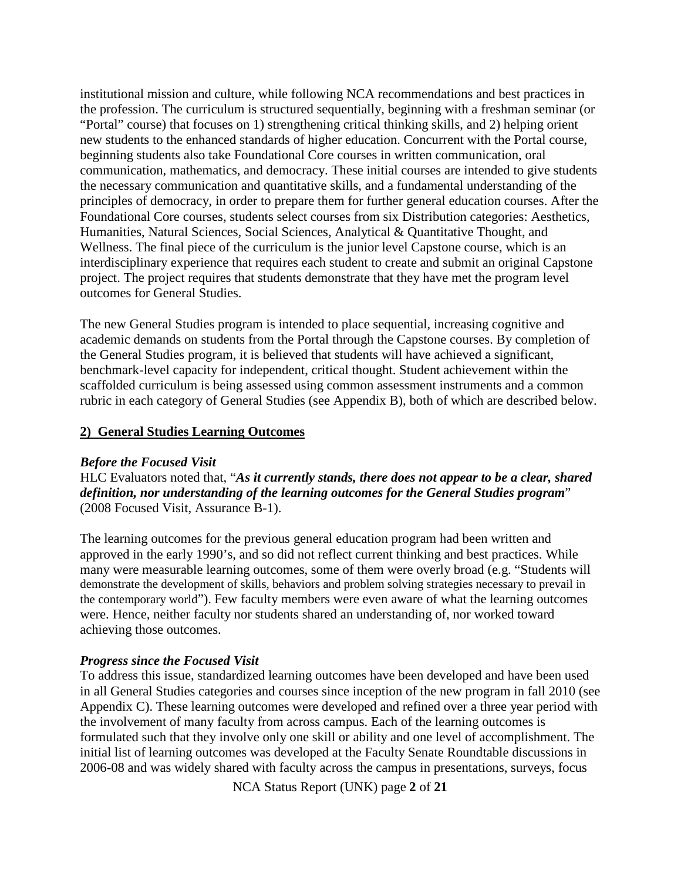institutional mission and culture, while following NCA recommendations and best practices in the profession. The curriculum is structured sequentially, beginning with a freshman seminar (or "Portal" course) that focuses on 1) strengthening critical thinking skills, and 2) helping orient new students to the enhanced standards of higher education. Concurrent with the Portal course, beginning students also take Foundational Core courses in written communication, oral communication, mathematics, and democracy. These initial courses are intended to give students the necessary communication and quantitative skills, and a fundamental understanding of the principles of democracy, in order to prepare them for further general education courses. After the Foundational Core courses, students select courses from six Distribution categories: Aesthetics, Humanities, Natural Sciences, Social Sciences, Analytical & Quantitative Thought, and Wellness. The final piece of the curriculum is the junior level Capstone course, which is an interdisciplinary experience that requires each student to create and submit an original Capstone project. The project requires that students demonstrate that they have met the program level outcomes for General Studies.

The new General Studies program is intended to place sequential, increasing cognitive and academic demands on students from the Portal through the Capstone courses. By completion of the General Studies program, it is believed that students will have achieved a significant, benchmark-level capacity for independent, critical thought. Student achievement within the scaffolded curriculum is being assessed using common assessment instruments and a common rubric in each category of General Studies (see Appendix B), both of which are described below.

#### **2) General Studies Learning Outcomes**

#### *Before the Focused Visit*

HLC Evaluators noted that, "*As it currently stands, there does not appear to be a clear, shared definition, nor understanding of the learning outcomes for the General Studies program*" (2008 Focused Visit, Assurance B-1).

The learning outcomes for the previous general education program had been written and approved in the early 1990's, and so did not reflect current thinking and best practices. While many were measurable learning outcomes, some of them were overly broad (e.g. "Students will demonstrate the development of skills, behaviors and problem solving strategies necessary to prevail in the contemporary world"). Few faculty members were even aware of what the learning outcomes were. Hence, neither faculty nor students shared an understanding of, nor worked toward achieving those outcomes.

### *Progress since the Focused Visit*

To address this issue, standardized learning outcomes have been developed and have been used in all General Studies categories and courses since inception of the new program in fall 2010 (see Appendix C). These learning outcomes were developed and refined over a three year period with the involvement of many faculty from across campus. Each of the learning outcomes is formulated such that they involve only one skill or ability and one level of accomplishment. The initial list of learning outcomes was developed at the Faculty Senate Roundtable discussions in 2006-08 and was widely shared with faculty across the campus in presentations, surveys, focus

NCA Status Report (UNK) page **2** of **21**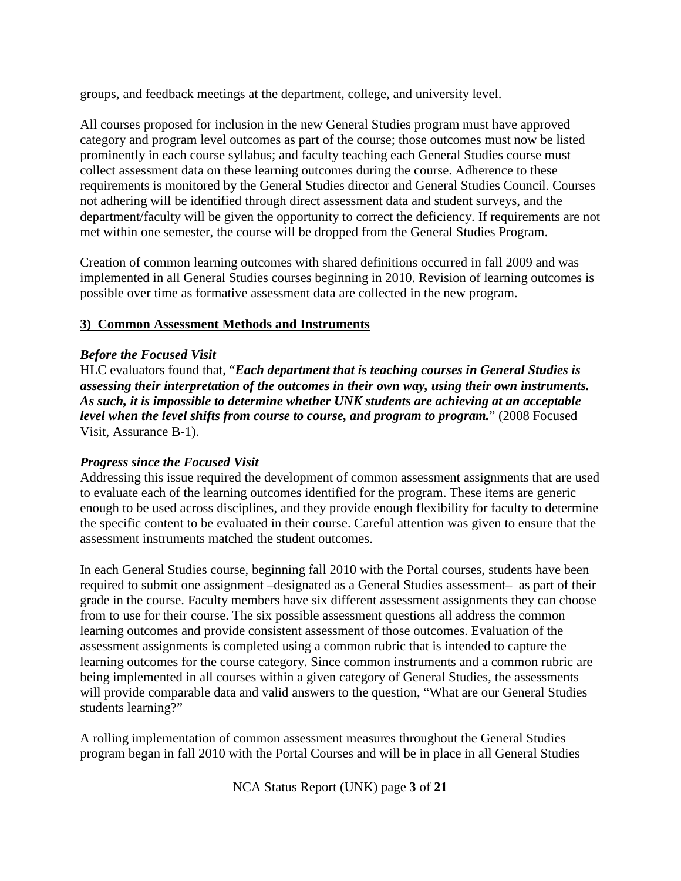groups, and feedback meetings at the department, college, and university level.

All courses proposed for inclusion in the new General Studies program must have approved category and program level outcomes as part of the course; those outcomes must now be listed prominently in each course syllabus; and faculty teaching each General Studies course must collect assessment data on these learning outcomes during the course. Adherence to these requirements is monitored by the General Studies director and General Studies Council. Courses not adhering will be identified through direct assessment data and student surveys, and the department/faculty will be given the opportunity to correct the deficiency. If requirements are not met within one semester, the course will be dropped from the General Studies Program.

Creation of common learning outcomes with shared definitions occurred in fall 2009 and was implemented in all General Studies courses beginning in 2010. Revision of learning outcomes is possible over time as formative assessment data are collected in the new program.

### **3) Common Assessment Methods and Instruments**

### *Before the Focused Visit*

HLC evaluators found that, "*Each department that is teaching courses in General Studies is assessing their interpretation of the outcomes in their own way, using their own instruments. As such, it is impossible to determine whether UNK students are achieving at an acceptable level when the level shifts from course to course, and program to program.*" (2008 Focused Visit, Assurance B-1).

### *Progress since the Focused Visit*

Addressing this issue required the development of common assessment assignments that are used to evaluate each of the learning outcomes identified for the program. These items are generic enough to be used across disciplines, and they provide enough flexibility for faculty to determine the specific content to be evaluated in their course. Careful attention was given to ensure that the assessment instruments matched the student outcomes.

In each General Studies course, beginning fall 2010 with the Portal courses, students have been required to submit one assignment –designated as a General Studies assessment– as part of their grade in the course. Faculty members have six different assessment assignments they can choose from to use for their course. The six possible assessment questions all address the common learning outcomes and provide consistent assessment of those outcomes. Evaluation of the assessment assignments is completed using a common rubric that is intended to capture the learning outcomes for the course category. Since common instruments and a common rubric are being implemented in all courses within a given category of General Studies, the assessments will provide comparable data and valid answers to the question, "What are our General Studies students learning?"

A rolling implementation of common assessment measures throughout the General Studies program began in fall 2010 with the Portal Courses and will be in place in all General Studies

NCA Status Report (UNK) page **3** of **21**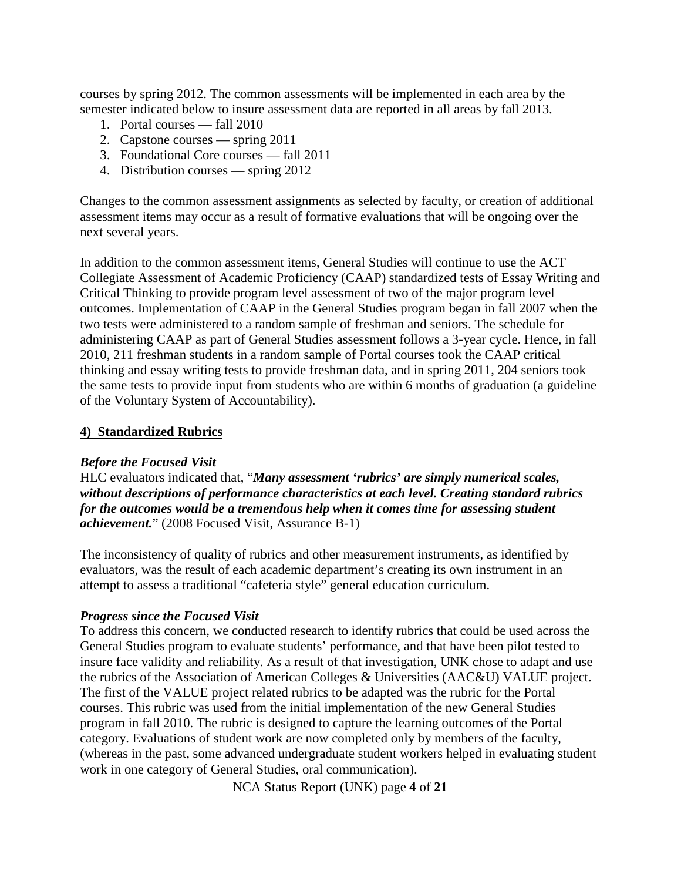courses by spring 2012. The common assessments will be implemented in each area by the semester indicated below to insure assessment data are reported in all areas by fall 2013.

- 1. Portal courses fall 2010
- 2. Capstone courses spring 2011
- 3. Foundational Core courses fall 2011
- 4. Distribution courses spring 2012

Changes to the common assessment assignments as selected by faculty, or creation of additional assessment items may occur as a result of formative evaluations that will be ongoing over the next several years.

In addition to the common assessment items, General Studies will continue to use the ACT Collegiate Assessment of Academic Proficiency (CAAP) standardized tests of Essay Writing and Critical Thinking to provide program level assessment of two of the major program level outcomes. Implementation of CAAP in the General Studies program began in fall 2007 when the two tests were administered to a random sample of freshman and seniors. The schedule for administering CAAP as part of General Studies assessment follows a 3-year cycle. Hence, in fall 2010, 211 freshman students in a random sample of Portal courses took the CAAP critical thinking and essay writing tests to provide freshman data, and in spring 2011, 204 seniors took the same tests to provide input from students who are within 6 months of graduation (a guideline of the Voluntary System of Accountability).

### **4) Standardized Rubrics**

### *Before the Focused Visit*

HLC evaluators indicated that, "*Many assessment 'rubrics' are simply numerical scales, without descriptions of performance characteristics at each level. Creating standard rubrics for the outcomes would be a tremendous help when it comes time for assessing student achievement.*" (2008 Focused Visit, Assurance B-1)

The inconsistency of quality of rubrics and other measurement instruments, as identified by evaluators, was the result of each academic department's creating its own instrument in an attempt to assess a traditional "cafeteria style" general education curriculum.

### *Progress since the Focused Visit*

To address this concern, we conducted research to identify rubrics that could be used across the General Studies program to evaluate students' performance, and that have been pilot tested to insure face validity and reliability. As a result of that investigation, UNK chose to adapt and use the rubrics of the Association of American Colleges & Universities (AAC&U) VALUE project. The first of the VALUE project related rubrics to be adapted was the rubric for the Portal courses. This rubric was used from the initial implementation of the new General Studies program in fall 2010. The rubric is designed to capture the learning outcomes of the Portal category. Evaluations of student work are now completed only by members of the faculty, (whereas in the past, some advanced undergraduate student workers helped in evaluating student work in one category of General Studies, oral communication).

NCA Status Report (UNK) page **4** of **21**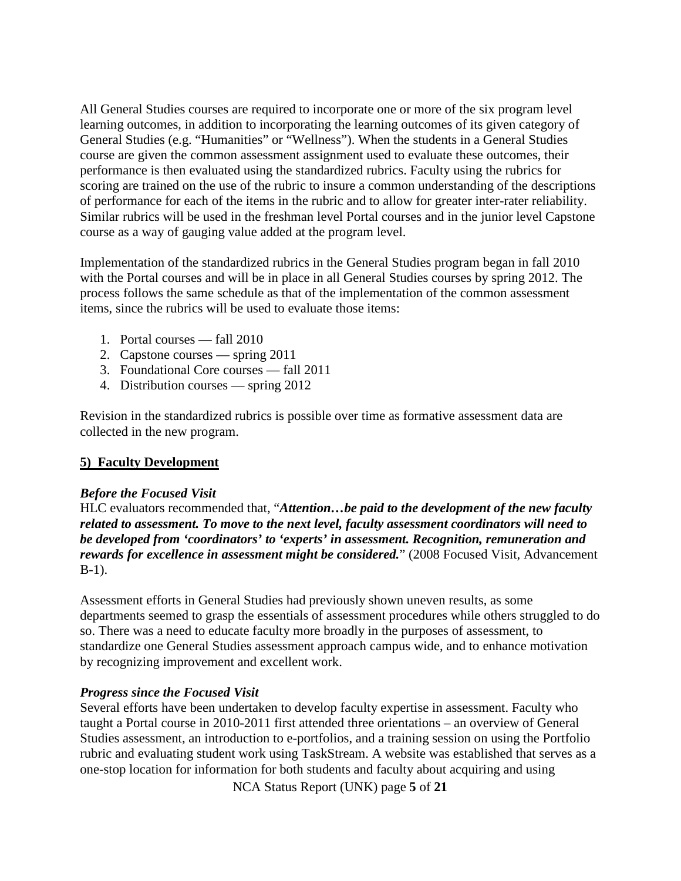All General Studies courses are required to incorporate one or more of the six program level learning outcomes, in addition to incorporating the learning outcomes of its given category of General Studies (e.g. "Humanities" or "Wellness"). When the students in a General Studies course are given the common assessment assignment used to evaluate these outcomes, their performance is then evaluated using the standardized rubrics. Faculty using the rubrics for scoring are trained on the use of the rubric to insure a common understanding of the descriptions of performance for each of the items in the rubric and to allow for greater inter-rater reliability. Similar rubrics will be used in the freshman level Portal courses and in the junior level Capstone course as a way of gauging value added at the program level.

Implementation of the standardized rubrics in the General Studies program began in fall 2010 with the Portal courses and will be in place in all General Studies courses by spring 2012. The process follows the same schedule as that of the implementation of the common assessment items, since the rubrics will be used to evaluate those items:

- 1. Portal courses fall 2010
- 2. Capstone courses spring 2011
- 3. Foundational Core courses fall 2011
- 4. Distribution courses spring 2012

Revision in the standardized rubrics is possible over time as formative assessment data are collected in the new program.

### **5) Faculty Development**

### *Before the Focused Visit*

HLC evaluators recommended that, "*Attention…be paid to the development of the new faculty related to assessment. To move to the next level, faculty assessment coordinators will need to be developed from 'coordinators' to 'experts' in assessment. Recognition, remuneration and rewards for excellence in assessment might be considered.*" (2008 Focused Visit, Advancement B-1).

Assessment efforts in General Studies had previously shown uneven results, as some departments seemed to grasp the essentials of assessment procedures while others struggled to do so. There was a need to educate faculty more broadly in the purposes of assessment, to standardize one General Studies assessment approach campus wide, and to enhance motivation by recognizing improvement and excellent work.

### *Progress since the Focused Visit*

Several efforts have been undertaken to develop faculty expertise in assessment. Faculty who taught a Portal course in 2010-2011 first attended three orientations – an overview of General Studies assessment, an introduction to e-portfolios, and a training session on using the Portfolio rubric and evaluating student work using TaskStream. A website was established that serves as a one-stop location for information for both students and faculty about acquiring and using

NCA Status Report (UNK) page **5** of **21**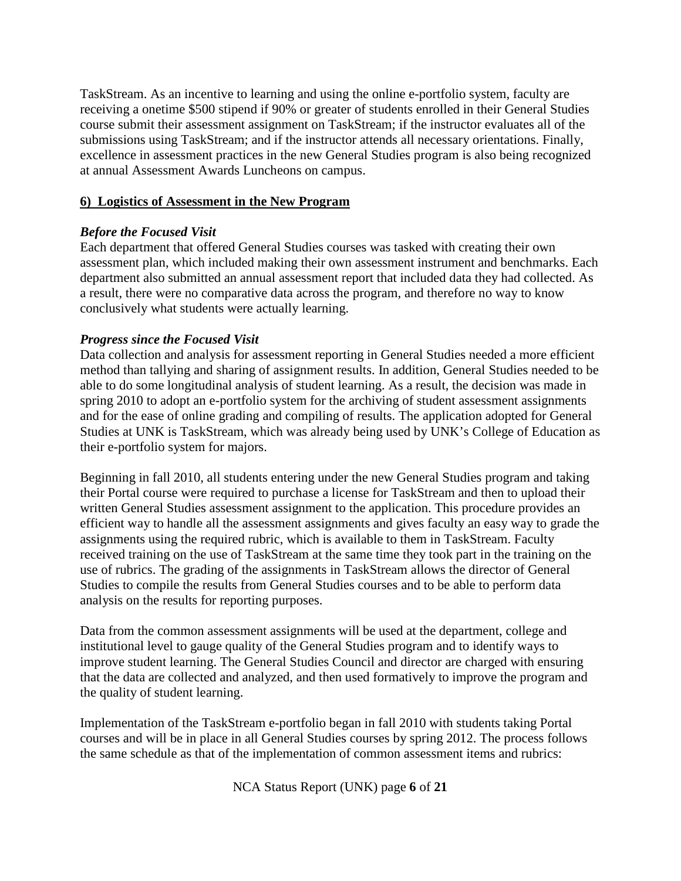TaskStream. As an incentive to learning and using the online e-portfolio system, faculty are receiving a onetime \$500 stipend if 90% or greater of students enrolled in their General Studies course submit their assessment assignment on TaskStream; if the instructor evaluates all of the submissions using TaskStream; and if the instructor attends all necessary orientations. Finally, excellence in assessment practices in the new General Studies program is also being recognized at annual Assessment Awards Luncheons on campus.

### **6) Logistics of Assessment in the New Program**

### *Before the Focused Visit*

Each department that offered General Studies courses was tasked with creating their own assessment plan, which included making their own assessment instrument and benchmarks. Each department also submitted an annual assessment report that included data they had collected. As a result, there were no comparative data across the program, and therefore no way to know conclusively what students were actually learning.

### *Progress since the Focused Visit*

Data collection and analysis for assessment reporting in General Studies needed a more efficient method than tallying and sharing of assignment results. In addition, General Studies needed to be able to do some longitudinal analysis of student learning. As a result, the decision was made in spring 2010 to adopt an e-portfolio system for the archiving of student assessment assignments and for the ease of online grading and compiling of results. The application adopted for General Studies at UNK is TaskStream, which was already being used by UNK's College of Education as their e-portfolio system for majors.

Beginning in fall 2010, all students entering under the new General Studies program and taking their Portal course were required to purchase a license for TaskStream and then to upload their written General Studies assessment assignment to the application. This procedure provides an efficient way to handle all the assessment assignments and gives faculty an easy way to grade the assignments using the required rubric, which is available to them in TaskStream. Faculty received training on the use of TaskStream at the same time they took part in the training on the use of rubrics. The grading of the assignments in TaskStream allows the director of General Studies to compile the results from General Studies courses and to be able to perform data analysis on the results for reporting purposes.

Data from the common assessment assignments will be used at the department, college and institutional level to gauge quality of the General Studies program and to identify ways to improve student learning. The General Studies Council and director are charged with ensuring that the data are collected and analyzed, and then used formatively to improve the program and the quality of student learning.

Implementation of the TaskStream e-portfolio began in fall 2010 with students taking Portal courses and will be in place in all General Studies courses by spring 2012. The process follows the same schedule as that of the implementation of common assessment items and rubrics:

NCA Status Report (UNK) page **6** of **21**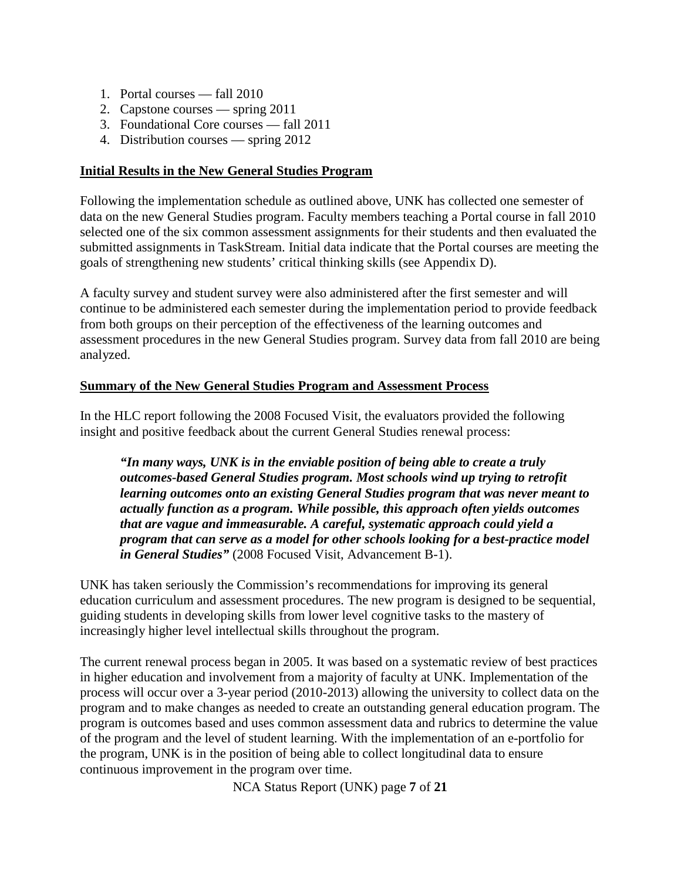- 1. Portal courses fall 2010
- 2. Capstone courses spring 2011
- 3. Foundational Core courses fall 2011
- 4. Distribution courses spring 2012

### **Initial Results in the New General Studies Program**

Following the implementation schedule as outlined above, UNK has collected one semester of data on the new General Studies program. Faculty members teaching a Portal course in fall 2010 selected one of the six common assessment assignments for their students and then evaluated the submitted assignments in TaskStream. Initial data indicate that the Portal courses are meeting the goals of strengthening new students' critical thinking skills (see Appendix D).

A faculty survey and student survey were also administered after the first semester and will continue to be administered each semester during the implementation period to provide feedback from both groups on their perception of the effectiveness of the learning outcomes and assessment procedures in the new General Studies program. Survey data from fall 2010 are being analyzed.

### **Summary of the New General Studies Program and Assessment Process**

In the HLC report following the 2008 Focused Visit, the evaluators provided the following insight and positive feedback about the current General Studies renewal process:

*"In many ways, UNK is in the enviable position of being able to create a truly outcomes-based General Studies program. Most schools wind up trying to retrofit learning outcomes onto an existing General Studies program that was never meant to actually function as a program. While possible, this approach often yields outcomes that are vague and immeasurable. A careful, systematic approach could yield a program that can serve as a model for other schools looking for a best-practice model in General Studies"* (2008 Focused Visit, Advancement B-1).

UNK has taken seriously the Commission's recommendations for improving its general education curriculum and assessment procedures. The new program is designed to be sequential, guiding students in developing skills from lower level cognitive tasks to the mastery of increasingly higher level intellectual skills throughout the program.

The current renewal process began in 2005. It was based on a systematic review of best practices in higher education and involvement from a majority of faculty at UNK. Implementation of the process will occur over a 3-year period (2010-2013) allowing the university to collect data on the program and to make changes as needed to create an outstanding general education program. The program is outcomes based and uses common assessment data and rubrics to determine the value of the program and the level of student learning. With the implementation of an e-portfolio for the program, UNK is in the position of being able to collect longitudinal data to ensure continuous improvement in the program over time.

NCA Status Report (UNK) page **7** of **21**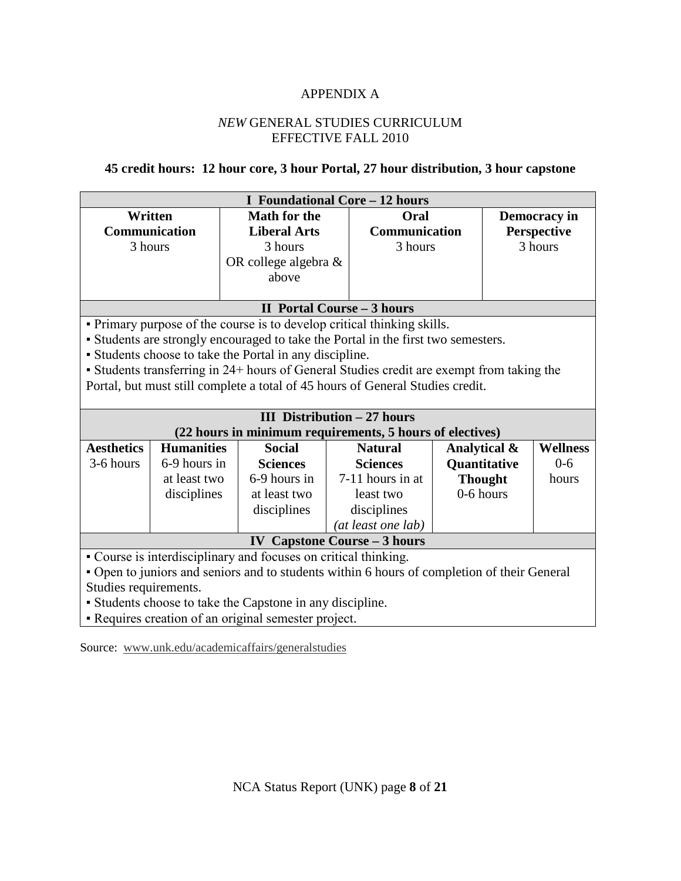### APPENDIX A

### *NEW* GENERAL STUDIES CURRICULUM EFFECTIVE FALL 2010

### **45 credit hours: 12 hour core, 3 hour Portal, 27 hour distribution, 3 hour capstone**

|                                                                                             |                   |                                                           | <b>I</b> Foundational Core - 12 hours                                                     |                      |                |                 |  |
|---------------------------------------------------------------------------------------------|-------------------|-----------------------------------------------------------|-------------------------------------------------------------------------------------------|----------------------|----------------|-----------------|--|
| Written                                                                                     |                   | <b>Math for the</b>                                       | Oral                                                                                      |                      |                | Democracy in    |  |
| <b>Communication</b>                                                                        |                   | <b>Liberal Arts</b>                                       |                                                                                           | <b>Communication</b> |                | Perspective     |  |
| 3 hours                                                                                     |                   | 3 hours                                                   |                                                                                           | 3 hours              |                | 3 hours         |  |
|                                                                                             |                   | OR college algebra &                                      |                                                                                           |                      |                |                 |  |
|                                                                                             |                   | above                                                     |                                                                                           |                      |                |                 |  |
|                                                                                             |                   |                                                           |                                                                                           |                      |                |                 |  |
|                                                                                             |                   |                                                           | <b>II Portal Course - 3 hours</b>                                                         |                      |                |                 |  |
|                                                                                             |                   |                                                           | • Primary purpose of the course is to develop critical thinking skills.                   |                      |                |                 |  |
|                                                                                             |                   |                                                           | • Students are strongly encouraged to take the Portal in the first two semesters.         |                      |                |                 |  |
|                                                                                             |                   | • Students choose to take the Portal in any discipline.   |                                                                                           |                      |                |                 |  |
|                                                                                             |                   |                                                           | • Students transferring in 24+ hours of General Studies credit are exempt from taking the |                      |                |                 |  |
|                                                                                             |                   |                                                           | Portal, but must still complete a total of 45 hours of General Studies credit.            |                      |                |                 |  |
|                                                                                             |                   |                                                           |                                                                                           |                      |                |                 |  |
|                                                                                             |                   |                                                           | <b>III</b> Distribution $-27$ hours                                                       |                      |                |                 |  |
|                                                                                             |                   |                                                           | (22 hours in minimum requirements, 5 hours of electives)                                  |                      |                |                 |  |
| <b>Aesthetics</b>                                                                           | <b>Humanities</b> | <b>Social</b>                                             | <b>Natural</b>                                                                            |                      | Analytical &   | <b>Wellness</b> |  |
| 3-6 hours                                                                                   | 6-9 hours in      | <b>Sciences</b>                                           | <b>Sciences</b>                                                                           |                      | Quantitative   | $0 - 6$         |  |
|                                                                                             | at least two      | 6-9 hours in                                              | 7-11 hours in at                                                                          |                      | <b>Thought</b> | hours           |  |
|                                                                                             | disciplines       | at least two                                              | least two                                                                                 |                      | 0-6 hours      |                 |  |
|                                                                                             |                   | disciplines                                               | disciplines                                                                               |                      |                |                 |  |
|                                                                                             |                   |                                                           | (at least one lab)                                                                        |                      |                |                 |  |
| <b>IV Capstone Course - 3 hours</b>                                                         |                   |                                                           |                                                                                           |                      |                |                 |  |
| • Course is interdisciplinary and focuses on critical thinking.                             |                   |                                                           |                                                                                           |                      |                |                 |  |
| • Open to juniors and seniors and to students within 6 hours of completion of their General |                   |                                                           |                                                                                           |                      |                |                 |  |
| Studies requirements.                                                                       |                   |                                                           |                                                                                           |                      |                |                 |  |
|                                                                                             |                   | • Students choose to take the Capstone in any discipline. |                                                                                           |                      |                |                 |  |
| • Requires creation of an original semester project.                                        |                   |                                                           |                                                                                           |                      |                |                 |  |

Source: [www.unk.edu/academicaffairs/generalstudies](http://www.unk.edu/academicaffairs/generalstudies)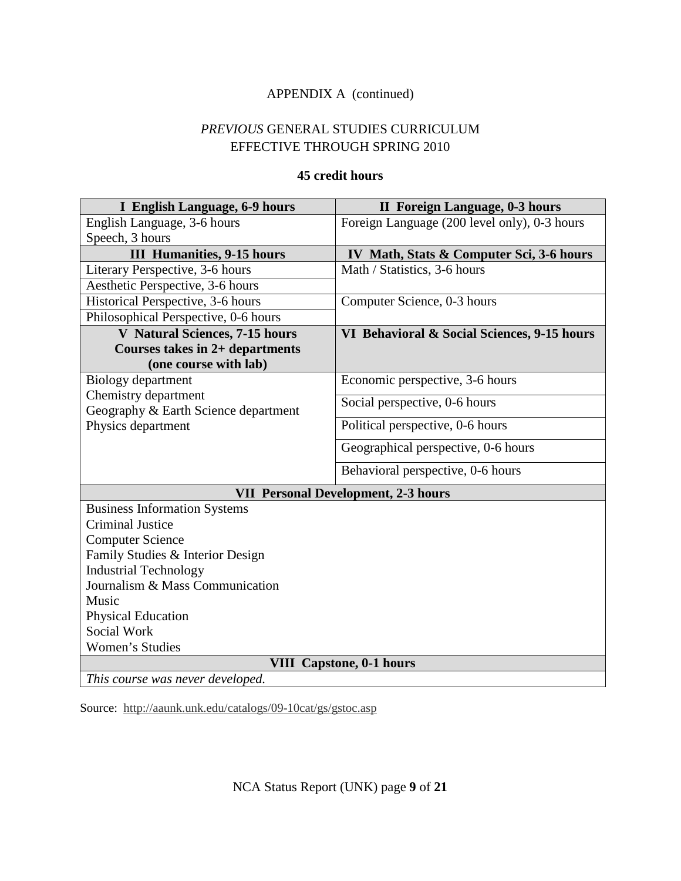### APPENDIX A (continued)

### *PREVIOUS* GENERAL STUDIES CURRICULUM EFFECTIVE THROUGH SPRING 2010

### **45 credit hours**

| I English Language, 6-9 hours                                | <b>II</b> Foreign Language, 0-3 hours        |  |  |  |  |  |
|--------------------------------------------------------------|----------------------------------------------|--|--|--|--|--|
| English Language, 3-6 hours                                  | Foreign Language (200 level only), 0-3 hours |  |  |  |  |  |
| Speech, 3 hours                                              |                                              |  |  |  |  |  |
| <b>III Humanities, 9-15 hours</b>                            | IV Math, Stats & Computer Sci, 3-6 hours     |  |  |  |  |  |
| Literary Perspective, 3-6 hours                              | Math / Statistics, 3-6 hours                 |  |  |  |  |  |
| Aesthetic Perspective, 3-6 hours                             |                                              |  |  |  |  |  |
| Historical Perspective, 3-6 hours                            | Computer Science, 0-3 hours                  |  |  |  |  |  |
| Philosophical Perspective, 0-6 hours                         |                                              |  |  |  |  |  |
| <b>V</b> Natural Sciences, 7-15 hours                        | VI Behavioral & Social Sciences, 9-15 hours  |  |  |  |  |  |
| <b>Courses takes in 2+ departments</b>                       |                                              |  |  |  |  |  |
| (one course with lab)                                        |                                              |  |  |  |  |  |
| Biology department                                           | Economic perspective, 3-6 hours              |  |  |  |  |  |
| Chemistry department<br>Geography & Earth Science department | Social perspective, 0-6 hours                |  |  |  |  |  |
| Physics department                                           | Political perspective, 0-6 hours             |  |  |  |  |  |
|                                                              | Geographical perspective, 0-6 hours          |  |  |  |  |  |
|                                                              | Behavioral perspective, 0-6 hours            |  |  |  |  |  |
|                                                              | <b>VII Personal Development, 2-3 hours</b>   |  |  |  |  |  |
| <b>Business Information Systems</b>                          |                                              |  |  |  |  |  |
| <b>Criminal Justice</b>                                      |                                              |  |  |  |  |  |
| <b>Computer Science</b>                                      |                                              |  |  |  |  |  |
| Family Studies & Interior Design                             |                                              |  |  |  |  |  |
| <b>Industrial Technology</b>                                 |                                              |  |  |  |  |  |
| Journalism & Mass Communication                              |                                              |  |  |  |  |  |
| Music                                                        |                                              |  |  |  |  |  |
| <b>Physical Education</b>                                    |                                              |  |  |  |  |  |
| Social Work                                                  |                                              |  |  |  |  |  |
| Women's Studies                                              |                                              |  |  |  |  |  |
|                                                              | <b>VIII</b> Capstone, 0-1 hours              |  |  |  |  |  |
| This course was never developed.                             |                                              |  |  |  |  |  |

Source: <http://aaunk.unk.edu/catalogs/09-10cat/gs/gstoc.asp>

NCA Status Report (UNK) page **9** of **21**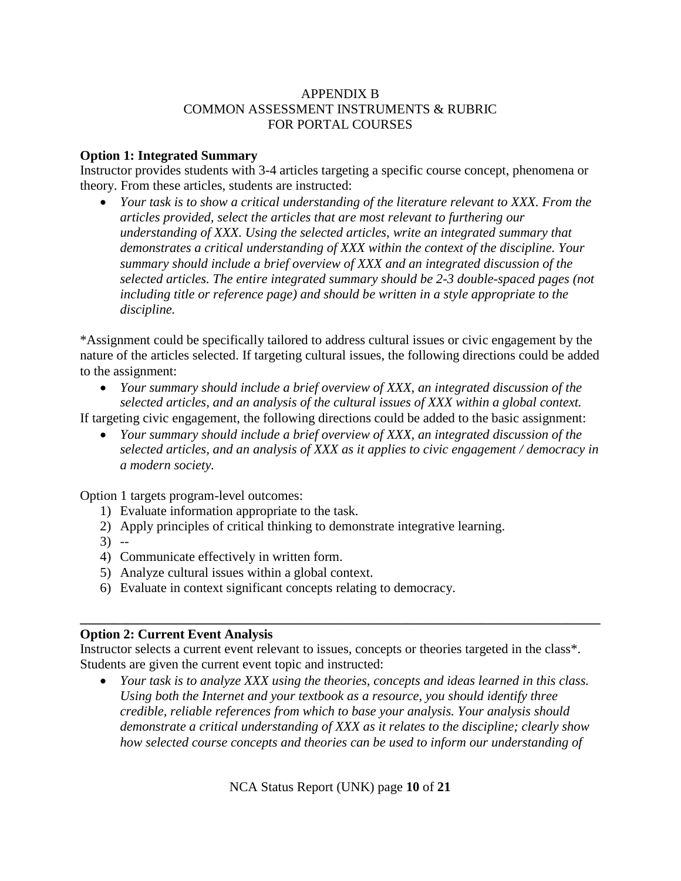### APPENDIX B COMMON ASSESSMENT INSTRUMENTS & RUBRIC FOR PORTAL COURSES

### **Option 1: Integrated Summary**

Instructor provides students with 3-4 articles targeting a specific course concept, phenomena or theory. From these articles, students are instructed:

• *Your task is to show a critical understanding of the literature relevant to XXX. From the articles provided, select the articles that are most relevant to furthering our understanding of XXX. Using the selected articles, write an integrated summary that demonstrates a critical understanding of XXX within the context of the discipline. Your summary should include a brief overview of XXX and an integrated discussion of the selected articles. The entire integrated summary should be 2-3 double-spaced pages (not including title or reference page) and should be written in a style appropriate to the discipline.* 

\*Assignment could be specifically tailored to address cultural issues or civic engagement by the nature of the articles selected. If targeting cultural issues, the following directions could be added to the assignment:

• *Your summary should include a brief overview of XXX, an integrated discussion of the selected articles, and an analysis of the cultural issues of XXX within a global context.* 

If targeting civic engagement, the following directions could be added to the basic assignment:

• *Your summary should include a brief overview of XXX, an integrated discussion of the selected articles, and an analysis of XXX as it applies to civic engagement / democracy in a modern society.* 

Option 1 targets program-level outcomes:

- 1) Evaluate information appropriate to the task.
- 2) Apply principles of critical thinking to demonstrate integrative learning.
- 3) --
- 4) Communicate effectively in written form.
- 5) Analyze cultural issues within a global context.
- 6) Evaluate in context significant concepts relating to democracy.

#### **\_\_\_\_\_\_\_\_\_\_\_\_\_\_\_\_\_\_\_\_\_\_\_\_\_\_\_\_\_\_\_\_\_\_\_\_\_\_\_\_\_\_\_\_\_\_\_\_\_\_\_\_\_\_\_\_\_\_\_\_\_\_\_\_\_\_\_\_\_\_\_\_\_\_\_\_\_\_ Option 2: Current Event Analysis**

Instructor selects a current event relevant to issues, concepts or theories targeted in the class\*. Students are given the current event topic and instructed:

• *Your task is to analyze XXX using the theories, concepts and ideas learned in this class. Using both the Internet and your textbook as a resource, you should identify three credible, reliable references from which to base your analysis. Your analysis should demonstrate a critical understanding of XXX as it relates to the discipline; clearly show how selected course concepts and theories can be used to inform our understanding of* 

NCA Status Report (UNK) page **10** of **21**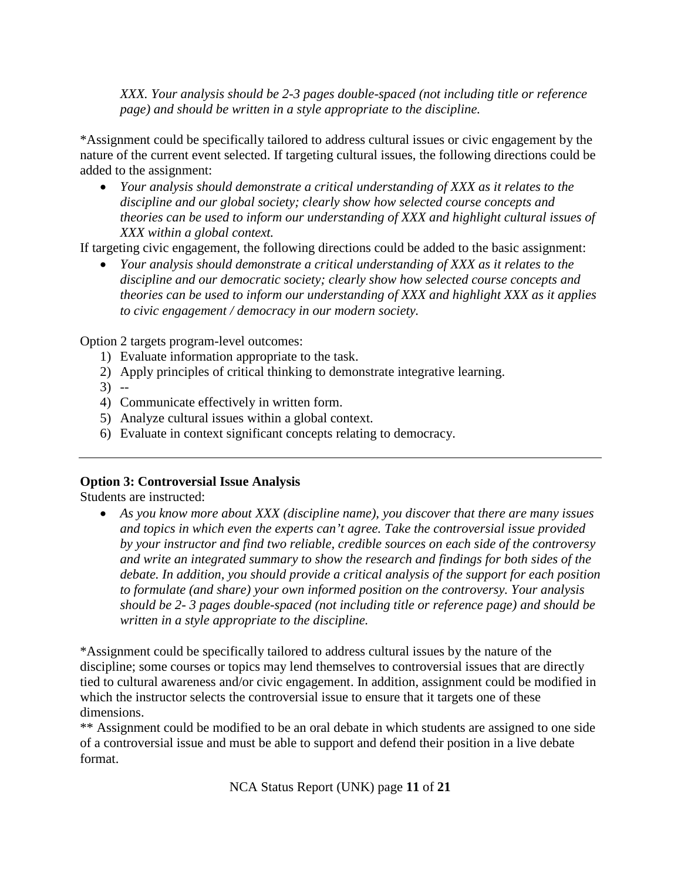*XXX. Your analysis should be 2-3 pages double-spaced (not including title or reference page) and should be written in a style appropriate to the discipline.*

\*Assignment could be specifically tailored to address cultural issues or civic engagement by the nature of the current event selected. If targeting cultural issues, the following directions could be added to the assignment:

• *Your analysis should demonstrate a critical understanding of XXX as it relates to the discipline and our global society; clearly show how selected course concepts and theories can be used to inform our understanding of XXX and highlight cultural issues of XXX within a global context.* 

If targeting civic engagement, the following directions could be added to the basic assignment:

• *Your analysis should demonstrate a critical understanding of XXX as it relates to the discipline and our democratic society; clearly show how selected course concepts and theories can be used to inform our understanding of XXX and highlight XXX as it applies to civic engagement / democracy in our modern society.* 

Option 2 targets program-level outcomes:

- 1) Evaluate information appropriate to the task.
- 2) Apply principles of critical thinking to demonstrate integrative learning.
- $3) -$
- 4) Communicate effectively in written form.
- 5) Analyze cultural issues within a global context.
- 6) Evaluate in context significant concepts relating to democracy.

### **Option 3: Controversial Issue Analysis**

Students are instructed:

• *As you know more about XXX (discipline name), you discover that there are many issues and topics in which even the experts can't agree. Take the controversial issue provided by your instructor and find two reliable, credible sources on each side of the controversy and write an integrated summary to show the research and findings for both sides of the debate. In addition, you should provide a critical analysis of the support for each position to formulate (and share) your own informed position on the controversy. Your analysis should be 2- 3 pages double-spaced (not including title or reference page) and should be written in a style appropriate to the discipline.*

\*Assignment could be specifically tailored to address cultural issues by the nature of the discipline; some courses or topics may lend themselves to controversial issues that are directly tied to cultural awareness and/or civic engagement. In addition, assignment could be modified in which the instructor selects the controversial issue to ensure that it targets one of these dimensions.

\*\* Assignment could be modified to be an oral debate in which students are assigned to one side of a controversial issue and must be able to support and defend their position in a live debate format.

NCA Status Report (UNK) page **11** of **21**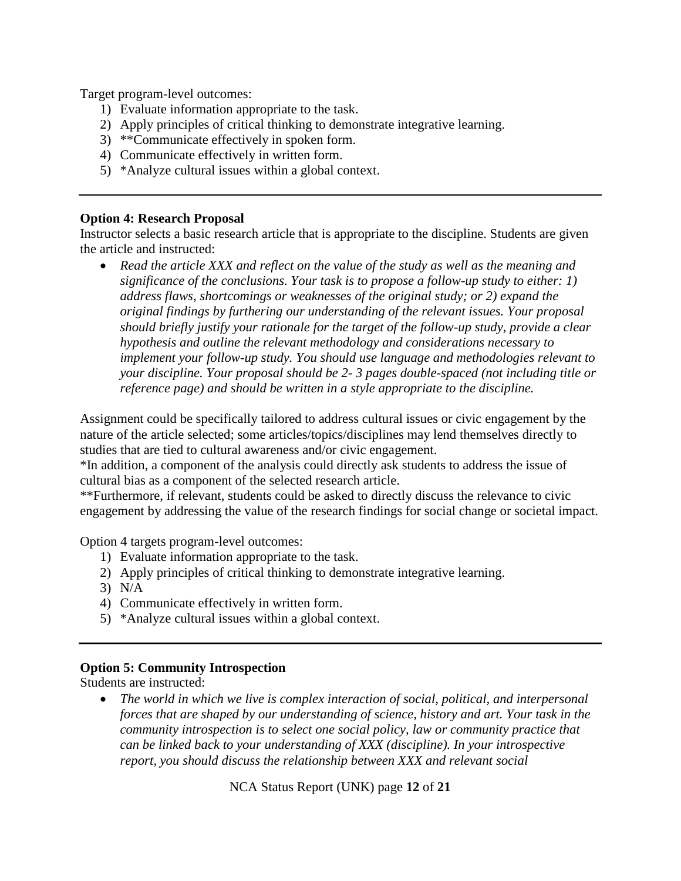Target program-level outcomes:

- 1) Evaluate information appropriate to the task.
- 2) Apply principles of critical thinking to demonstrate integrative learning.
- 3) \*\*Communicate effectively in spoken form.
- 4) Communicate effectively in written form.
- 5) \*Analyze cultural issues within a global context.

#### **Option 4: Research Proposal**

Instructor selects a basic research article that is appropriate to the discipline. Students are given the article and instructed:

• *Read the article XXX and reflect on the value of the study as well as the meaning and significance of the conclusions. Your task is to propose a follow-up study to either: 1) address flaws, shortcomings or weaknesses of the original study; or 2) expand the original findings by furthering our understanding of the relevant issues. Your proposal should briefly justify your rationale for the target of the follow-up study, provide a clear hypothesis and outline the relevant methodology and considerations necessary to implement your follow-up study. You should use language and methodologies relevant to your discipline. Your proposal should be 2- 3 pages double-spaced (not including title or reference page) and should be written in a style appropriate to the discipline.*

Assignment could be specifically tailored to address cultural issues or civic engagement by the nature of the article selected; some articles/topics/disciplines may lend themselves directly to studies that are tied to cultural awareness and/or civic engagement.

\*In addition, a component of the analysis could directly ask students to address the issue of cultural bias as a component of the selected research article.

\*\*Furthermore, if relevant, students could be asked to directly discuss the relevance to civic engagement by addressing the value of the research findings for social change or societal impact.

Option 4 targets program-level outcomes:

- 1) Evaluate information appropriate to the task.
- 2) Apply principles of critical thinking to demonstrate integrative learning.
- 3) N/A
- 4) Communicate effectively in written form.
- 5) \*Analyze cultural issues within a global context.

### **Option 5: Community Introspection**

Students are instructed:

• *The world in which we live is complex interaction of social, political, and interpersonal forces that are shaped by our understanding of science, history and art. Your task in the community introspection is to select one social policy, law or community practice that can be linked back to your understanding of XXX (discipline). In your introspective report, you should discuss the relationship between XXX and relevant social* 

NCA Status Report (UNK) page **12** of **21**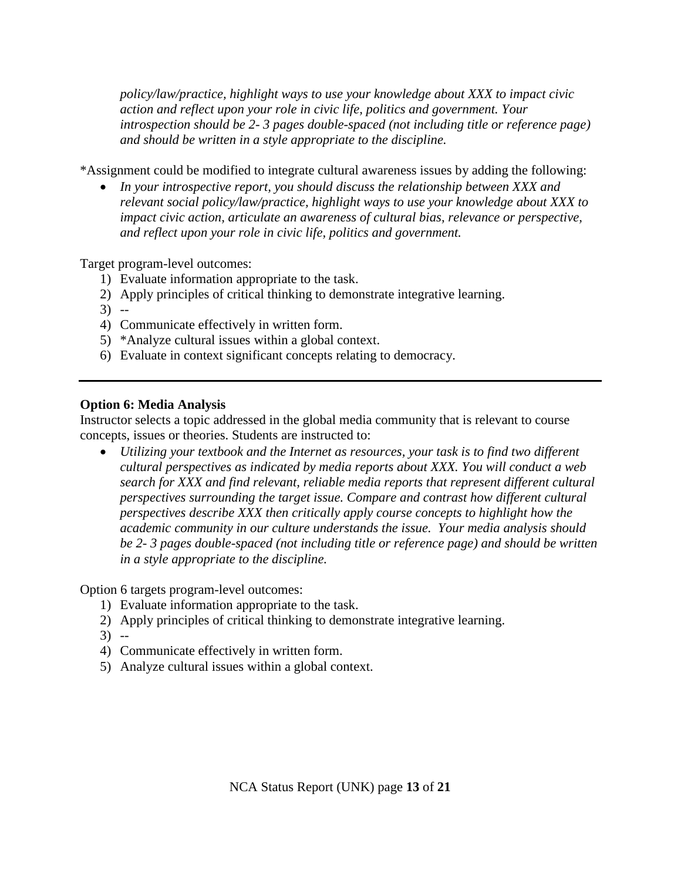*policy/law/practice, highlight ways to use your knowledge about XXX to impact civic action and reflect upon your role in civic life, politics and government. Your introspection should be 2- 3 pages double-spaced (not including title or reference page) and should be written in a style appropriate to the discipline.*

\*Assignment could be modified to integrate cultural awareness issues by adding the following:

• *In your introspective report, you should discuss the relationship between XXX and relevant social policy/law/practice, highlight ways to use your knowledge about XXX to impact civic action, articulate an awareness of cultural bias, relevance or perspective, and reflect upon your role in civic life, politics and government.*

Target program-level outcomes:

- 1) Evaluate information appropriate to the task.
- 2) Apply principles of critical thinking to demonstrate integrative learning.
- 3) --
- 4) Communicate effectively in written form.
- 5) \*Analyze cultural issues within a global context.
- 6) Evaluate in context significant concepts relating to democracy.

#### **Option 6: Media Analysis**

Instructor selects a topic addressed in the global media community that is relevant to course concepts, issues or theories. Students are instructed to:

• *Utilizing your textbook and the Internet as resources, your task is to find two different cultural perspectives as indicated by media reports about XXX. You will conduct a web search for XXX and find relevant, reliable media reports that represent different cultural perspectives surrounding the target issue. Compare and contrast how different cultural perspectives describe XXX then critically apply course concepts to highlight how the academic community in our culture understands the issue. Your media analysis should be 2- 3 pages double-spaced (not including title or reference page) and should be written in a style appropriate to the discipline.*

Option 6 targets program-level outcomes:

- 1) Evaluate information appropriate to the task.
- 2) Apply principles of critical thinking to demonstrate integrative learning.
- 3) --
- 4) Communicate effectively in written form.
- 5) Analyze cultural issues within a global context.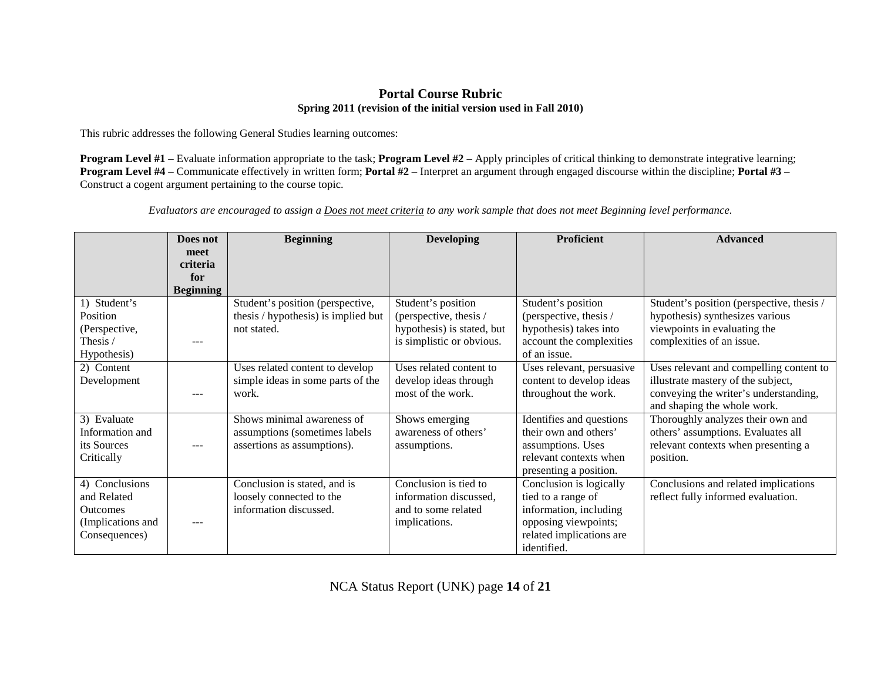#### **Portal Course Rubric Spring 2011 (revision of the initial version used in Fall 2010)**

This rubric addresses the following General Studies learning outcomes:

**Program Level #1** – Evaluate information appropriate to the task; **Program Level #2** – Apply principles of critical thinking to demonstrate integrative learning; **Program Level #4** – Communicate effectively in written form; **Portal #2** – Interpret an argument through engaged discourse within the discipline; **Portal #3** – Construct a cogent argument pertaining to the course topic.

*Evaluators are encouraged to assign a Does not meet criteria to any work sample that does not meet Beginning level performance.*

|                   | Does not         | <b>Beginning</b>                    | <b>Developing</b>          | <b>Proficient</b>         | <b>Advanced</b>                           |
|-------------------|------------------|-------------------------------------|----------------------------|---------------------------|-------------------------------------------|
|                   | meet             |                                     |                            |                           |                                           |
|                   | criteria         |                                     |                            |                           |                                           |
|                   | for              |                                     |                            |                           |                                           |
|                   | <b>Beginning</b> |                                     |                            |                           |                                           |
| 1) Student's      |                  | Student's position (perspective,    | Student's position         | Student's position        | Student's position (perspective, thesis / |
| Position          |                  | thesis / hypothesis) is implied but | (perspective, thesis /     | (perspective, thesis /    | hypothesis) synthesizes various           |
| (Perspective,     |                  | not stated.                         | hypothesis) is stated, but | hypothesis) takes into    | viewpoints in evaluating the              |
| Thesis /          | ---              |                                     | is simplistic or obvious.  | account the complexities  | complexities of an issue.                 |
| Hypothesis)       |                  |                                     |                            | of an issue.              |                                           |
| 2) Content        |                  | Uses related content to develop     | Uses related content to    | Uses relevant, persuasive | Uses relevant and compelling content to   |
| Development       |                  | simple ideas in some parts of the   | develop ideas through      | content to develop ideas  | illustrate mastery of the subject,        |
|                   | ---              | work.                               | most of the work.          | throughout the work.      | conveying the writer's understanding,     |
|                   |                  |                                     |                            |                           | and shaping the whole work.               |
| 3) Evaluate       |                  | Shows minimal awareness of          | Shows emerging             | Identifies and questions  | Thoroughly analyzes their own and         |
| Information and   |                  | assumptions (sometimes labels       | awareness of others'       | their own and others'     | others' assumptions. Evaluates all        |
| its Sources       |                  | assertions as assumptions).         | assumptions.               | assumptions. Uses         | relevant contexts when presenting a       |
| Critically        |                  |                                     |                            | relevant contexts when    | position.                                 |
|                   |                  |                                     |                            | presenting a position.    |                                           |
| 4) Conclusions    |                  | Conclusion is stated, and is        | Conclusion is tied to      | Conclusion is logically   | Conclusions and related implications      |
| and Related       |                  | loosely connected to the            | information discussed,     | tied to a range of        | reflect fully informed evaluation.        |
| <b>Outcomes</b>   |                  | information discussed.              | and to some related        | information, including    |                                           |
| (Implications and | ---              |                                     | implications.              | opposing viewpoints;      |                                           |
| Consequences)     |                  |                                     |                            | related implications are  |                                           |
|                   |                  |                                     |                            | identified.               |                                           |

NCA Status Report (UNK) page **14** of **21**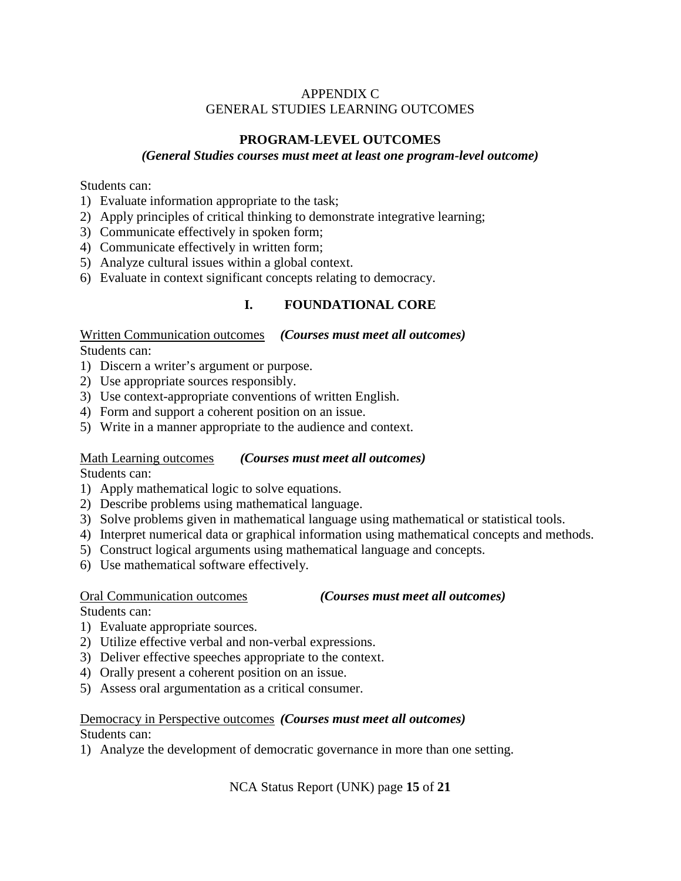### APPENDIX C GENERAL STUDIES LEARNING OUTCOMES

### **PROGRAM-LEVEL OUTCOMES**

### *(General Studies courses must meet at least one program-level outcome)*

Students can:

- 1) Evaluate information appropriate to the task;
- 2) Apply principles of critical thinking to demonstrate integrative learning;
- 3) Communicate effectively in spoken form;
- 4) Communicate effectively in written form;
- 5) Analyze cultural issues within a global context.
- 6) Evaluate in context significant concepts relating to democracy.

### **I. FOUNDATIONAL CORE**

Written Communication outcomes *(Courses must meet all outcomes)* Students can:

- 1) Discern a writer's argument or purpose.
- 2) Use appropriate sources responsibly.
- 3) Use context-appropriate conventions of written English.
- 4) Form and support a coherent position on an issue.
- 5) Write in a manner appropriate to the audience and context.

#### Math Learning outcomes *(Courses must meet all outcomes)*

Students can:

- 1) Apply mathematical logic to solve equations.
- 2) Describe problems using mathematical language.
- 3) Solve problems given in mathematical language using mathematical or statistical tools.
- 4) Interpret numerical data or graphical information using mathematical concepts and methods.
- 5) Construct logical arguments using mathematical language and concepts.
- 6) Use mathematical software effectively.

#### Oral Communication outcomes

#### *(Courses must meet all outcomes)*

Students can:

- 1) Evaluate appropriate sources.
- 2) Utilize effective verbal and non-verbal expressions.
- 3) Deliver effective speeches appropriate to the context.
- 4) Orally present a coherent position on an issue.
- 5) Assess oral argumentation as a critical consumer.

# Democracy in Perspective outcomes *(Courses must meet all outcomes)*

Students can:

1) Analyze the development of democratic governance in more than one setting.

NCA Status Report (UNK) page **15** of **21**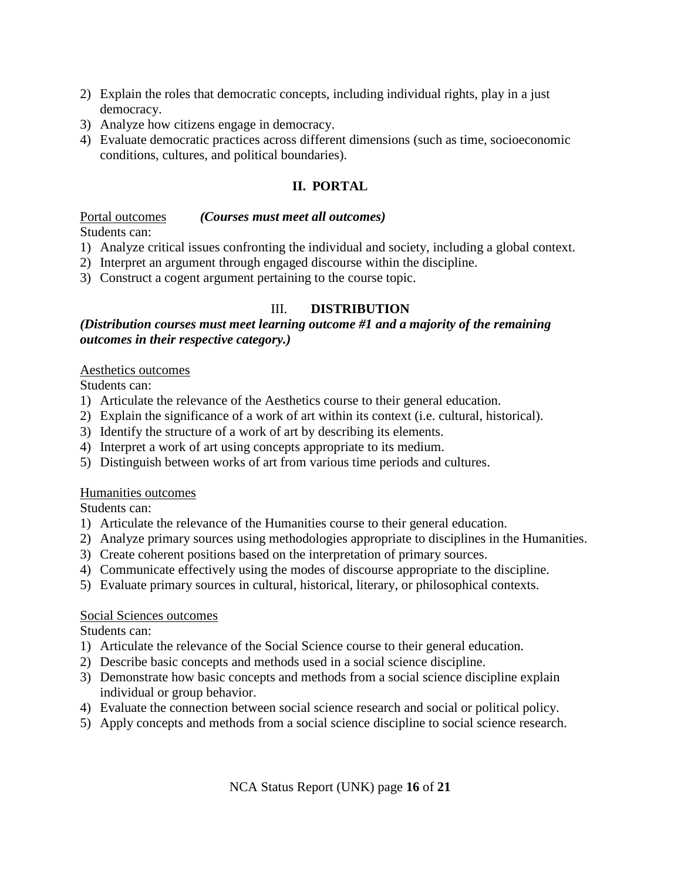- 2) Explain the roles that democratic concepts, including individual rights, play in a just democracy.
- 3) Analyze how citizens engage in democracy.
- 4) Evaluate democratic practices across different dimensions (such as time, socioeconomic conditions, cultures, and political boundaries).

## **II. PORTAL**

#### Portal outcomes Students can: *(Courses must meet all outcomes)*

- 1) Analyze critical issues confronting the individual and society, including a global context.
- 2) Interpret an argument through engaged discourse within the discipline.
- 3) Construct a cogent argument pertaining to the course topic.

### III. **DISTRIBUTION**

### *(Distribution courses must meet learning outcome #1 and a majority of the remaining outcomes in their respective category.)*

### Aesthetics outcomes

Students can:

- 1) Articulate the relevance of the Aesthetics course to their general education.
- 2) Explain the significance of a work of art within its context (i.e. cultural, historical).
- 3) Identify the structure of a work of art by describing its elements.
- 4) Interpret a work of art using concepts appropriate to its medium.
- 5) Distinguish between works of art from various time periods and cultures.

#### Humanities outcomes

Students can:

- 1) Articulate the relevance of the Humanities course to their general education.
- 2) Analyze primary sources using methodologies appropriate to disciplines in the Humanities.
- 3) Create coherent positions based on the interpretation of primary sources.
- 4) Communicate effectively using the modes of discourse appropriate to the discipline.
- 5) Evaluate primary sources in cultural, historical, literary, or philosophical contexts.

#### Social Sciences outcomes

Students can:

- 1) Articulate the relevance of the Social Science course to their general education.
- 2) Describe basic concepts and methods used in a social science discipline.
- 3) Demonstrate how basic concepts and methods from a social science discipline explain individual or group behavior.
- 4) Evaluate the connection between social science research and social or political policy.
- 5) Apply concepts and methods from a social science discipline to social science research.

NCA Status Report (UNK) page **16** of **21**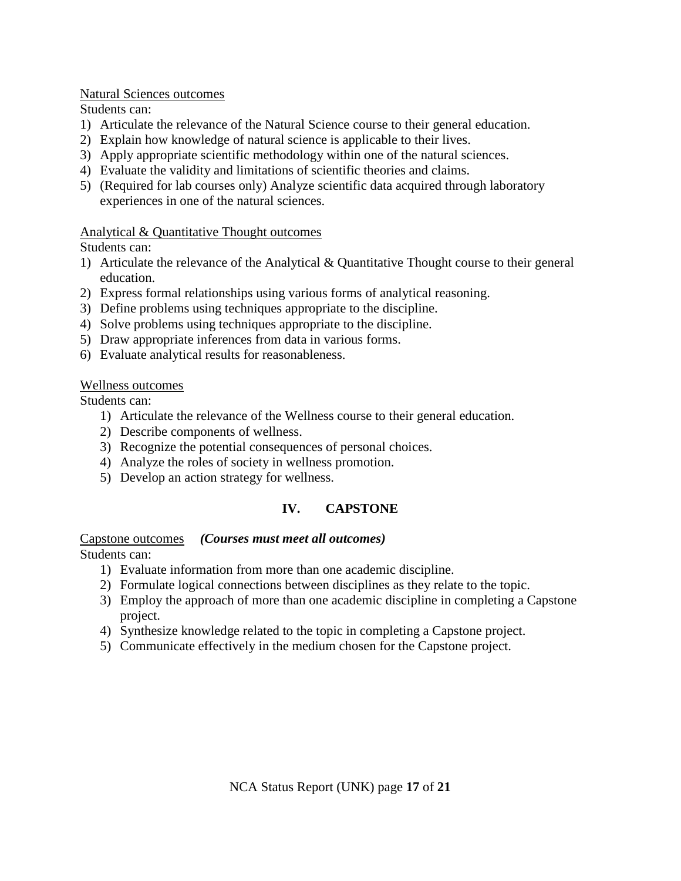### Natural Sciences outcomes

Students can:

- 1) Articulate the relevance of the Natural Science course to their general education.
- 2) Explain how knowledge of natural science is applicable to their lives.
- 3) Apply appropriate scientific methodology within one of the natural sciences.
- 4) Evaluate the validity and limitations of scientific theories and claims.
- 5) (Required for lab courses only) Analyze scientific data acquired through laboratory experiences in one of the natural sciences.

### Analytical & Quantitative Thought outcomes

Students can:

- 1) Articulate the relevance of the Analytical & Quantitative Thought course to their general education.
- 2) Express formal relationships using various forms of analytical reasoning.
- 3) Define problems using techniques appropriate to the discipline.
- 4) Solve problems using techniques appropriate to the discipline.
- 5) Draw appropriate inferences from data in various forms.
- 6) Evaluate analytical results for reasonableness.

### Wellness outcomes

Students can:

- 1) Articulate the relevance of the Wellness course to their general education.
- 2) Describe components of wellness.
- 3) Recognize the potential consequences of personal choices.
- 4) Analyze the roles of society in wellness promotion.
- 5) Develop an action strategy for wellness.

# **IV. CAPSTONE**

### Capstone outcomes *(Courses must meet all outcomes)*

Students can:

- 1) Evaluate information from more than one academic discipline.
- 2) Formulate logical connections between disciplines as they relate to the topic.
- 3) Employ the approach of more than one academic discipline in completing a Capstone project.
- 4) Synthesize knowledge related to the topic in completing a Capstone project.
- 5) Communicate effectively in the medium chosen for the Capstone project.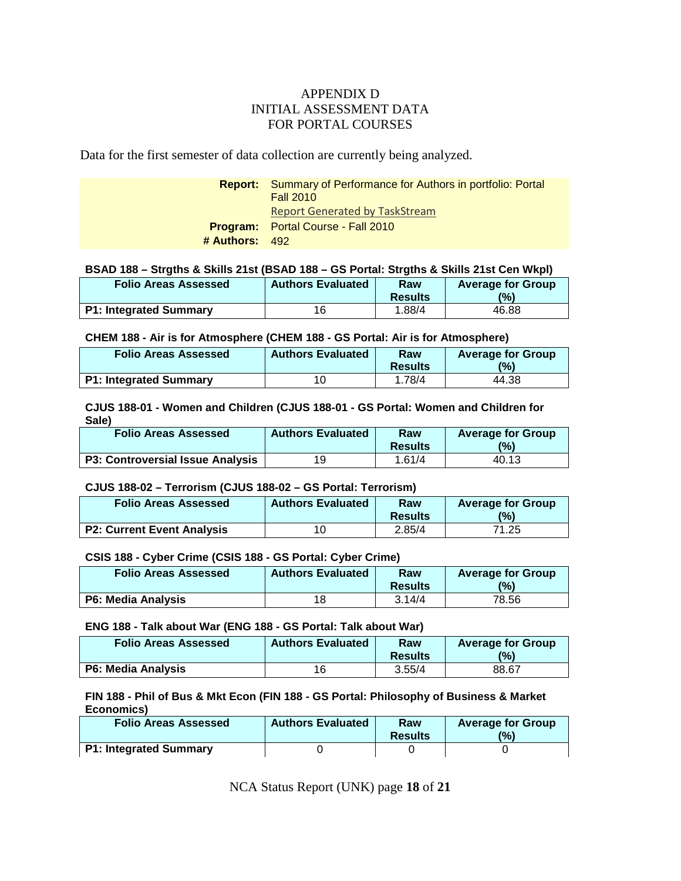#### APPENDIX D INITIAL ASSESSMENT DATA FOR PORTAL COURSES

Data for the first semester of data collection are currently being analyzed.

| <b>Report:</b> Summary of Performance for Authors in portfolio: Portal |
|------------------------------------------------------------------------|
|                                                                        |
|                                                                        |
|                                                                        |
|                                                                        |
|                                                                        |

#### **BSAD 188 – Strgths & Skills 21st (BSAD 188 – GS Portal: Strgths & Skills 21st Cen Wkpl)**

| <b>Folio Areas Assessed</b>   | <b>Authors Evaluated</b> | Raw<br><b>Results</b> | <b>Average for Group</b><br>(9) |
|-------------------------------|--------------------------|-----------------------|---------------------------------|
| <b>P1: Integrated Summary</b> | 16                       | 1.88/4                | 46.88                           |

#### **CHEM 188 - Air is for Atmosphere (CHEM 188 - GS Portal: Air is for Atmosphere)**

| <b>Folio Areas Assessed</b>   | <b>Authors Evaluated</b> | Raw<br><b>Results</b> | <b>Average for Group</b><br>$\frac{10}{6}$ |
|-------------------------------|--------------------------|-----------------------|--------------------------------------------|
| <b>P1: Integrated Summary</b> | 10                       | 1.78/4                | 44.38                                      |

#### **CJUS 188-01 - Women and Children (CJUS 188-01 - GS Portal: Women and Children for Sale)**

| <b>Folio Areas Assessed</b>             | <b>Authors Evaluated</b> | Raw<br><b>Results</b> | <b>Average for Group</b><br>$(\%)$ |
|-----------------------------------------|--------------------------|-----------------------|------------------------------------|
| <b>P3: Controversial Issue Analysis</b> | 19                       | 1.61/4                | 40.13                              |

#### **CJUS 188-02 – Terrorism (CJUS 188-02 – GS Portal: Terrorism)**

| <b>Folio Areas Assessed</b>       | <b>Authors Evaluated</b> | Raw<br><b>Results</b> | <b>Average for Group</b><br>(0) |
|-----------------------------------|--------------------------|-----------------------|---------------------------------|
| <b>P2: Current Event Analysis</b> | 10                       | 2.85/4                | 71.25                           |

#### **CSIS 188 - Cyber Crime (CSIS 188 - GS Portal: Cyber Crime)**

| <b>Folio Areas Assessed</b> | <b>Authors Evaluated</b> | Raw<br><b>Results</b> | <b>Average for Group</b><br>$\frac{10}{6}$ |
|-----------------------------|--------------------------|-----------------------|--------------------------------------------|
| <b>P6: Media Analysis</b>   | 18                       | 3.14/4                | 78.56                                      |

#### **ENG 188 - Talk about War (ENG 188 - GS Portal: Talk about War)**

| <b>Folio Areas Assessed</b> | <b>Authors Evaluated</b> | Raw<br><b>Results</b> | <b>Average for Group</b><br>(%) |
|-----------------------------|--------------------------|-----------------------|---------------------------------|
| <b>P6: Media Analysis</b>   | 16                       | 3.55/4                | 88.67                           |

#### **FIN 188 - Phil of Bus & Mkt Econ (FIN 188 - GS Portal: Philosophy of Business & Market Economics)**

| <b>Folio Areas Assessed</b>   | <b>Authors Evaluated</b> | Raw<br><b>Results</b> | <b>Average for Group</b><br>$\frac{10}{6}$ |
|-------------------------------|--------------------------|-----------------------|--------------------------------------------|
| <b>P1: Integrated Summary</b> |                          |                       |                                            |

NCA Status Report (UNK) page **18** of **21**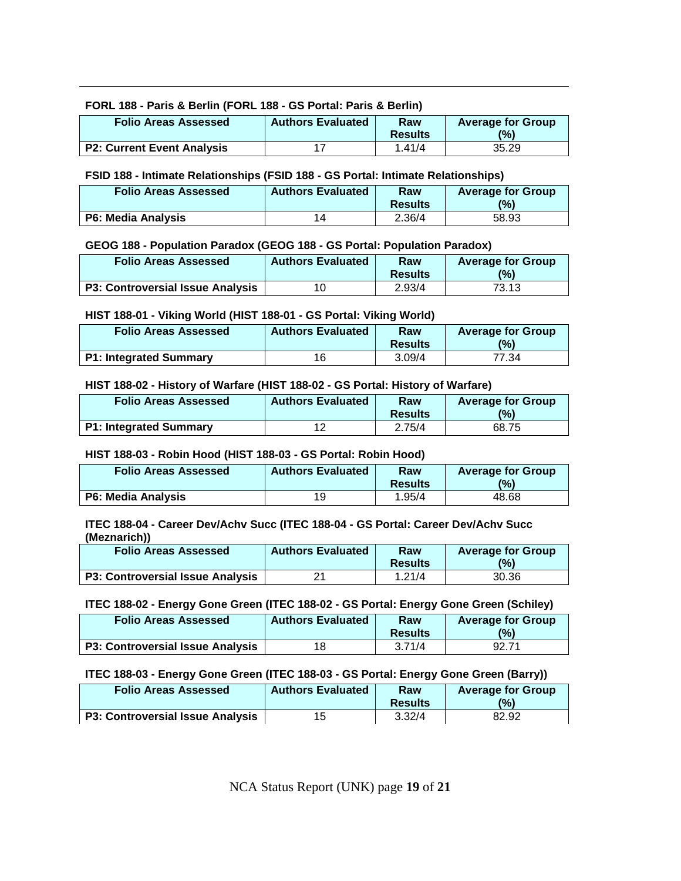#### **FORL 188 - Paris & Berlin (FORL 188 - GS Portal: Paris & Berlin)**

| <b>Folio Areas Assessed</b>       | <b>Authors Evaluated</b> | Raw<br><b>Results</b> | <b>Average for Group</b><br>$(\%)$ |
|-----------------------------------|--------------------------|-----------------------|------------------------------------|
| <b>P2: Current Event Analysis</b> | -17                      | 1.41/4                | 35.29                              |

#### **FSID 188 - Intimate Relationships (FSID 188 - GS Portal: Intimate Relationships)**

| <b>Folio Areas Assessed</b> | <b>Authors Evaluated</b> | Raw<br><b>Results</b> | <b>Average for Group</b><br>$\frac{10}{6}$ |
|-----------------------------|--------------------------|-----------------------|--------------------------------------------|
| P6: Media Analysis          | 14                       | 2.36/4                | 58.93                                      |

#### **GEOG 188 - Population Paradox (GEOG 188 - GS Portal: Population Paradox)**

| <b>Folio Areas Assessed</b>             | <b>Authors Evaluated</b> | Raw<br><b>Results</b> | <b>Average for Group</b><br>(9/6) |
|-----------------------------------------|--------------------------|-----------------------|-----------------------------------|
| <b>P3: Controversial Issue Analysis</b> | 10                       | 2.93/4                | 73.13                             |

#### **HIST 188-01 - Viking World (HIST 188-01 - GS Portal: Viking World)**

| <b>Folio Areas Assessed</b>   | <b>Authors Evaluated</b> | Raw<br><b>Results</b> | <b>Average for Group</b><br>$\frac{10}{2}$ |
|-------------------------------|--------------------------|-----------------------|--------------------------------------------|
| <b>P1: Integrated Summary</b> | 16                       | 3.09/4                | 77.34                                      |

#### **HIST 188-02 - History of Warfare (HIST 188-02 - GS Portal: History of Warfare)**

| <b>Folio Areas Assessed</b>   | <b>Authors Evaluated</b> | Raw<br><b>Results</b> | <b>Average for Group</b><br>$\frac{10}{6}$ |
|-------------------------------|--------------------------|-----------------------|--------------------------------------------|
| <b>P1: Integrated Summary</b> | 10                       | 2.75/4                | 68.75                                      |

#### **HIST 188-03 - Robin Hood (HIST 188-03 - GS Portal: Robin Hood)**

| <b>Folio Areas Assessed</b> | <b>Authors Evaluated</b> | Raw<br><b>Results</b> | <b>Average for Group</b><br>(9) |
|-----------------------------|--------------------------|-----------------------|---------------------------------|
| <b>P6: Media Analysis</b>   | 19                       | 1.95/4                | 48.68                           |

#### **ITEC 188-04 - Career Dev/Achv Succ (ITEC 188-04 - GS Portal: Career Dev/Achv Succ (Meznarich))**

| <b>Folio Areas Assessed</b>             | <b>Authors Evaluated</b> | Raw<br><b>Results</b> | <b>Average for Group</b><br>(0) |
|-----------------------------------------|--------------------------|-----------------------|---------------------------------|
| <b>P3: Controversial Issue Analysis</b> | 04                       | 1.21/4                | 30.36                           |

#### **ITEC 188-02 - Energy Gone Green (ITEC 188-02 - GS Portal: Energy Gone Green (Schiley)**

| <b>Folio Areas Assessed</b>             | <b>Authors Evaluated</b> | Raw<br><b>Results</b> | <b>Average for Group</b><br>(%) |
|-----------------------------------------|--------------------------|-----------------------|---------------------------------|
| <b>P3: Controversial Issue Analysis</b> | 18                       | 3.71/4                | 92.71                           |

#### **ITEC 188-03 - Energy Gone Green (ITEC 188-03 - GS Portal: Energy Gone Green (Barry))**

| <b>Folio Areas Assessed</b>      | <b>Authors Evaluated</b> | Raw<br><b>Results</b> | <b>Average for Group</b><br>$\frac{10}{6}$ |
|----------------------------------|--------------------------|-----------------------|--------------------------------------------|
| P3: Controversial Issue Analysis | 1 F                      | 3.32/4                | 82.92                                      |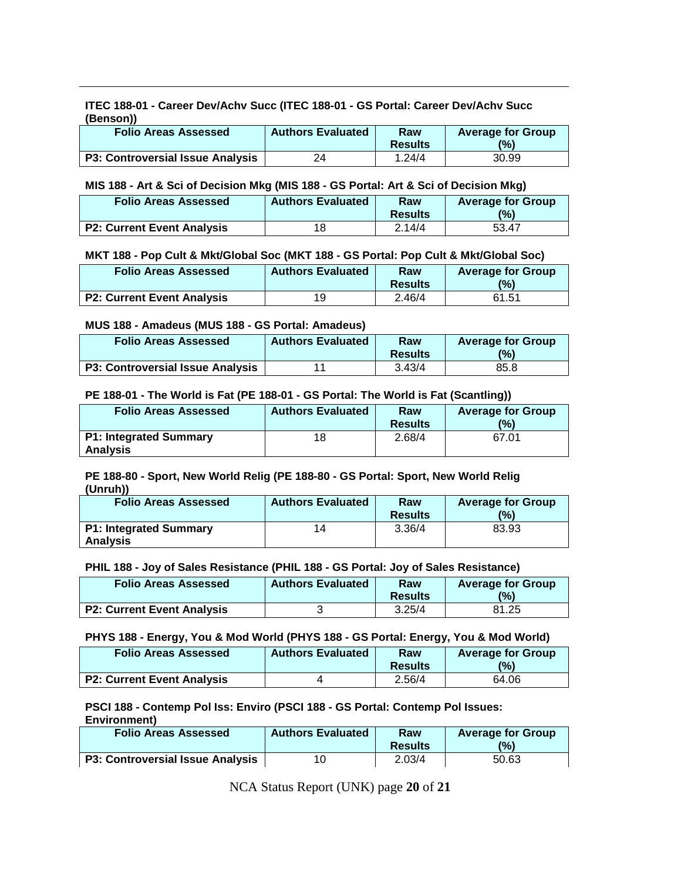**ITEC 188-01 - Career Dev/Achv Succ (ITEC 188-01 - GS Portal: Career Dev/Achv Succ (Benson))**

| <b>Folio Areas Assessed</b>             | <b>Authors Evaluated</b> | Raw<br><b>Results</b> | <b>Average for Group</b><br>$\frac{10}{6}$ |
|-----------------------------------------|--------------------------|-----------------------|--------------------------------------------|
| <b>P3: Controversial Issue Analysis</b> | 24                       | 1.24/4                | 30.99                                      |

#### **MIS 188 - Art & Sci of Decision Mkg (MIS 188 - GS Portal: Art & Sci of Decision Mkg)**

| <b>Folio Areas Assessed</b>       | <b>Authors Evaluated</b> | Raw<br><b>Results</b> | <b>Average for Group</b><br>(0) |
|-----------------------------------|--------------------------|-----------------------|---------------------------------|
| <b>P2: Current Event Analysis</b> | 18                       | 2.14/4                | 53.47                           |

#### **MKT 188 - Pop Cult & Mkt/Global Soc (MKT 188 - GS Portal: Pop Cult & Mkt/Global Soc)**

| <b>Folio Areas Assessed</b>       | <b>Authors Evaluated</b> | Raw<br><b>Results</b> | <b>Average for Group</b><br>(9) |
|-----------------------------------|--------------------------|-----------------------|---------------------------------|
| <b>P2: Current Event Analysis</b> | 1 Q                      | 2.46/4                | 61.51                           |

#### **MUS 188 - Amadeus (MUS 188 - GS Portal: Amadeus)**

| <b>Folio Areas Assessed</b>             | <b>Authors Evaluated</b> | Raw<br><b>Results</b> | <b>Average for Group</b><br>(9) |
|-----------------------------------------|--------------------------|-----------------------|---------------------------------|
| <b>P3: Controversial Issue Analysis</b> | 11                       | 3.43/4                | 85.8                            |

#### **PE 188-01 - The World is Fat (PE 188-01 - GS Portal: The World is Fat (Scantling))**

| <b>Folio Areas Assessed</b>                      | <b>Authors Evaluated</b> | Raw<br><b>Results</b> | <b>Average for Group</b><br>(9) |
|--------------------------------------------------|--------------------------|-----------------------|---------------------------------|
| <b>P1: Integrated Summary</b><br><b>Analysis</b> | 18                       | 2.68/4                | 67.01                           |

#### **PE 188-80 - Sport, New World Relig (PE 188-80 - GS Portal: Sport, New World Relig (Unruh))**

| <b>Folio Areas Assessed</b>   | <b>Authors Evaluated</b> | Raw            | <b>Average for Group</b> |
|-------------------------------|--------------------------|----------------|--------------------------|
|                               |                          | <b>Results</b> | (0)                      |
| <b>P1: Integrated Summary</b> | 14                       | 3.36/4         | 83.93                    |
| <b>Analysis</b>               |                          |                |                          |

#### **PHIL 188 - Joy of Sales Resistance (PHIL 188 - GS Portal: Joy of Sales Resistance)**

| <b>Folio Areas Assessed</b>       | <b>Authors Evaluated</b> | Raw<br><b>Results</b> | <b>Average for Group</b><br>$\frac{(0)}{0}$ |
|-----------------------------------|--------------------------|-----------------------|---------------------------------------------|
| <b>P2: Current Event Analysis</b> |                          | 3.25/4                | 81.25                                       |

#### **PHYS 188 - Energy, You & Mod World (PHYS 188 - GS Portal: Energy, You & Mod World)**

| <b>Folio Areas Assessed</b>       | <b>Authors Evaluated</b> | Raw<br><b>Results</b> | <b>Average for Group</b><br>(%) |
|-----------------------------------|--------------------------|-----------------------|---------------------------------|
| <b>P2: Current Event Analysis</b> |                          | 2.56/4                | 64.06                           |

#### **PSCI 188 - Contemp Pol Iss: Enviro (PSCI 188 - GS Portal: Contemp Pol Issues: Environment)**

| <b>Folio Areas Assessed</b>             | <b>Authors Evaluated</b> | Raw            | <b>Average for Group</b> |
|-----------------------------------------|--------------------------|----------------|--------------------------|
|                                         |                          | <b>Results</b> | (9)                      |
| <b>P3: Controversial Issue Analysis</b> |                          | 2.03/4         | 50.63                    |

NCA Status Report (UNK) page **20** of **21**